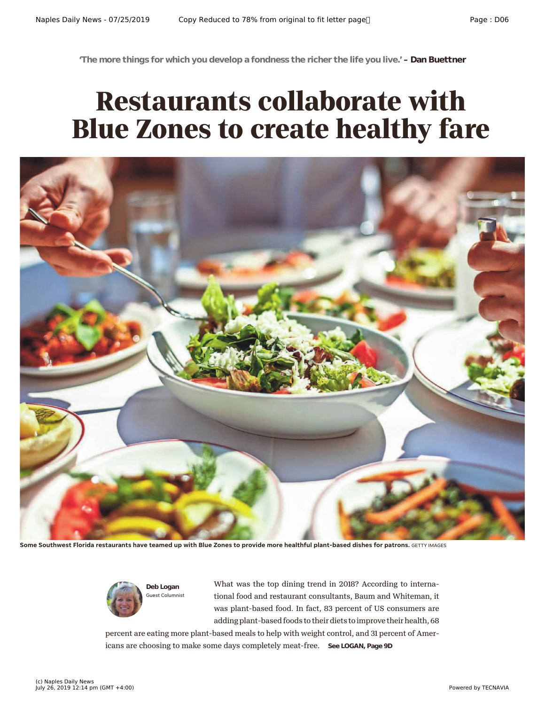**'The more things for which you develop a fondness the richer the life you live.' – Dan Buettner**

## **Restaurants collaborate with Blue Zones to create healthy fare**



**Some Southwest Florida restaurants have teamed up with Blue Zones to provide more healthful plant-based dishes for patrons.** GETTY IMAGES



What was the top dining trend in 2018? According to international food and restaurant consultants, Baum and Whiteman, it was plant-based food. In fact, 83 percent of US consumers are adding plant-based foods to their diets to improve their health, 68

percent are eating more plant-based meals to help with weight control, and 31 percent of Americans are choosing to make some days completely meat-free. **See LOGAN, Page 9D**